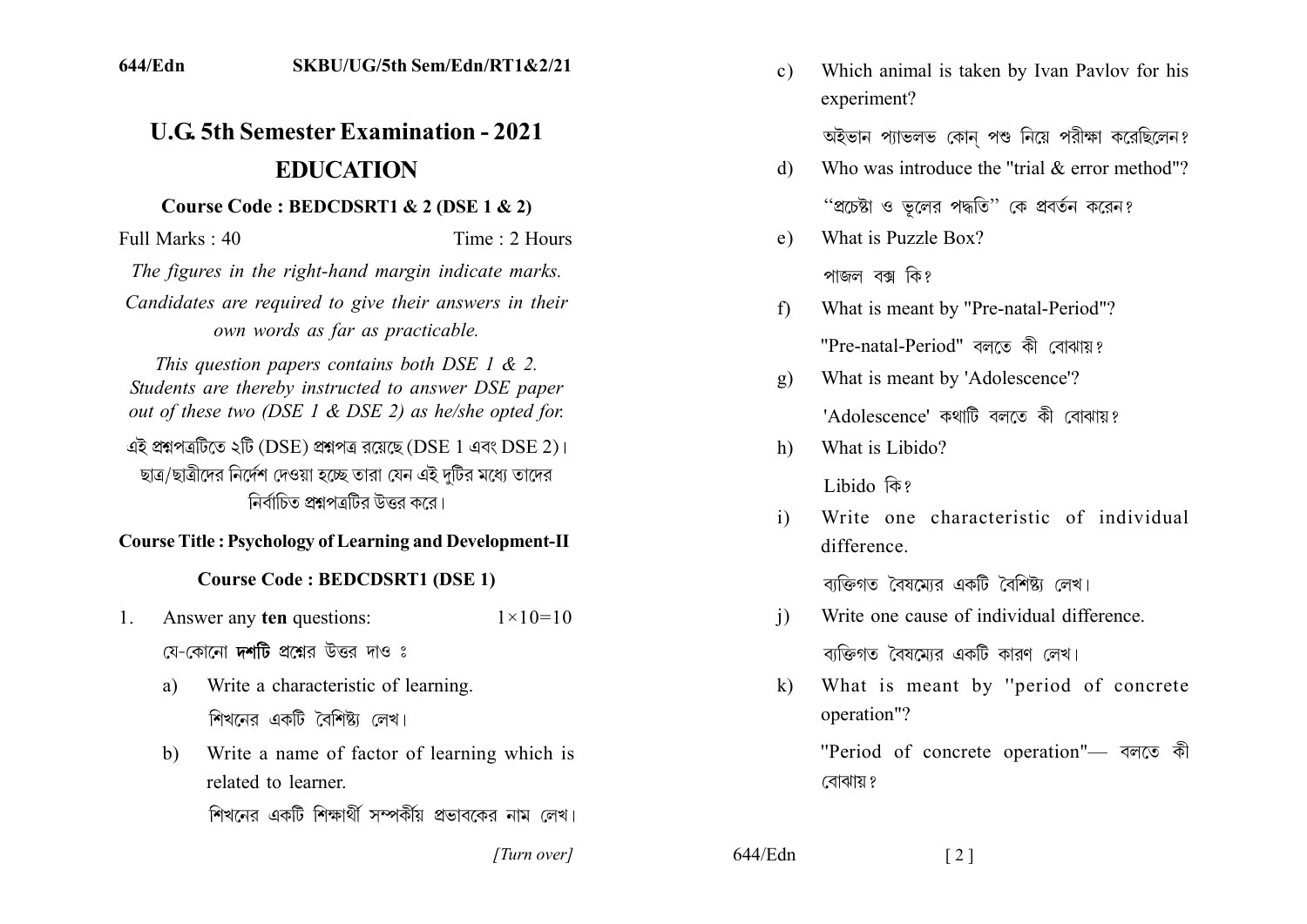# **11.6 5th Semester Examination - 2021 EDUCATION**

#### **Course Code: BEDCDSRT1 & 2 (DSE 1 & 2)**

 $Full Marks: 40$  Time  $\cdot$  2 Hours

*The figures in the right-hand margin indicate marks.* Candidates are required to give their answers in their *own words as far as practicable.* 

*This question papers contains both DSE 1 & 2. Students are thereby instructed to answer DSE paper out of these two (DSE 1 & DSE 2) as he/she opted for.* 

এই প্ৰশ্নপত্ৰটিতে ২টি (DSE) প্ৰশ্নপত্ৰ রয়েছে (DSE 1 এবং DSE 2)। ছাত্র/ছাত্রীদের নির্দেশ দেওয়া হচ্ছে তারা যেন এই দটির মধ্যে তাদের নির্বাচিত প্রশ্নপত্রটির উত্তর করে।

#### **Course Title : Psychology of Learning and Development-II**

#### **Course Code: BEDCDSRT1 (DSE 1)**

- 1. Answer any **ten** questions:  $1 \times 10=10$ য়ে-কোনো **দশটি** প্রশ্নের উত্তর দাও ঃ
	- a) Write a characteristic of learning. শিখনের একটি বৈশিষ্ট্য লেখ।
	- b) Write a name of factor of learning which is related to learner

শিখনের একটি শিক্ষার্থী সম্পর্কীয় প্রভাবকের নাম লেখ।

*]]]]]]]]]]]*

 $644/Edn$  [2]

c) Which animal is taken by Ivan Pavlov for his experiment?

অইভান প্যাভলভ কোন পশু নিয়ে পরীক্ষা করেছিলেন?

- d) Who was introduce the "trial  $&$  error method"? "প্রচেষ্টা ও ভলের পদ্ধতি" কে প্রবর্তন করেন?
- e) What is Puzzle Box?

পাজল বক্স কি?

- f) What is meant by "Pre-natal-Period"? "Pre-natal-Period" বলতে কী বোঝায়?
- g) What is meant by 'Adolescence'? 'Adolescence' কথাটি বলতে কী বোঝায় $\imath$
- h) What is Libido?

Libido কি?

i) Write one characteristic of individual difference

বাক্তিগত বৈষমোর একটি বৈশিষ্ট্য লেখ।

- i) Write one cause of individual difference. বাক্তিগত বৈষমোর একটি কারণ লেখ।
- k) What is meant by "period of concrete" operation"?

"Period of concrete operation"- বলতে কী বোঝায় ?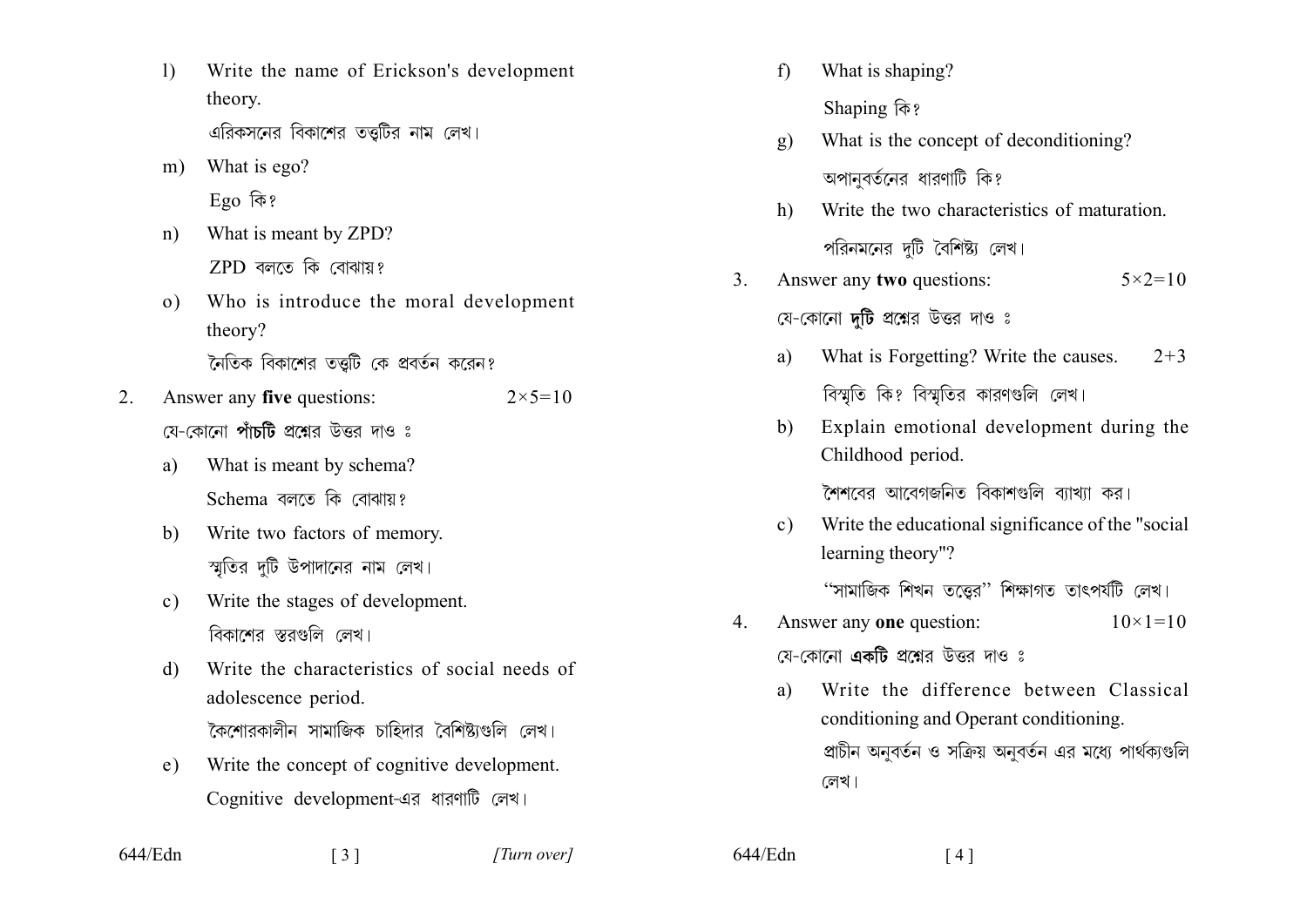- $\left| \right\rangle$ Write the name of Erickson's development theory. এরিকসনের বিকাশের তত্তটির নাম লেখ।
- What is ego?  $m$ )  $E$ go কি?
- What is meant by ZPD?  $n)$  $ZPD$  বলতে কি বোঝায়?
- Who is introduce the moral development  $\Omega$ ) theory? নৈতিক বিকাশের তত্তটি কে প্রবর্তন করেন?
- Answer any five questions:  $2 \times 5 = 10$  $2^{\circ}$ য়ে-কোনো **পাঁচটি** প্রশ্নের উত্তর দাও ঃ
	- What is meant by schema? a) Schema বলতে কি বোঝায়?
	- Write two factors of memory.  $h$ স্মতির দটি উপাদানের নাম লেখ।
	- Write the stages of development.  $c)$ বিকাশের স্তরগুলি লেখ।
	- Write the characteristics of social needs of  $\mathbf{d}$ adolescence period. কৈশোরকালীন সামাজিক চাহিদার বৈশিষ্ট্যগুলি লেখ।
	- Write the concept of cognitive development.  $e)$ Cognitive development-এর ধারণাটি লেখ।
- What is shaping?  $f$ Shaping कि?  $\mathbf{g}$ )
- What is the concept of deconditioning? অপানবর্তনের ধারণাটি কি?
- $h$ ) Write the two characteristics of maturation. পরিনমনের দুটি বৈশিষ্ট্য লেখ।
- $\mathcal{E}$ Answer any two questions:  $5 \times 2 = 10$ যে-কোনো **দটি** প্রশ্নের উত্তর দাও ঃ
	- What is Forgetting? Write the causes.  $2 + 3$ a) বিশ্মতি কি? বিশ্মতির কারণগুলি লেখ।
	- Explain emotional development during the  $h$ Childhood period.

লৈশবের আবেগজনিত বিকাশগুলি ব্যাখ্যা কর।

Write the educational significance of the "social"  $c)$ learning theory"?

"সামাজিক শিখন তত্তের" শিক্ষাগত তাৎপর্যটি লেখ।

- Answer any **one** question:  $\overline{4}$  $10 \times 1 = 10$ য়ে–কোনো **একটি** প্রশ্নের উত্তর দাও ঃ
	- Write the difference between Classical a) conditioning and Operant conditioning. প্রাচীন অনুবর্তন ও সক্রিয় অনুবর্তন এর মধ্যে পার্থক্যগুলি লেখ।

 $644/Edn$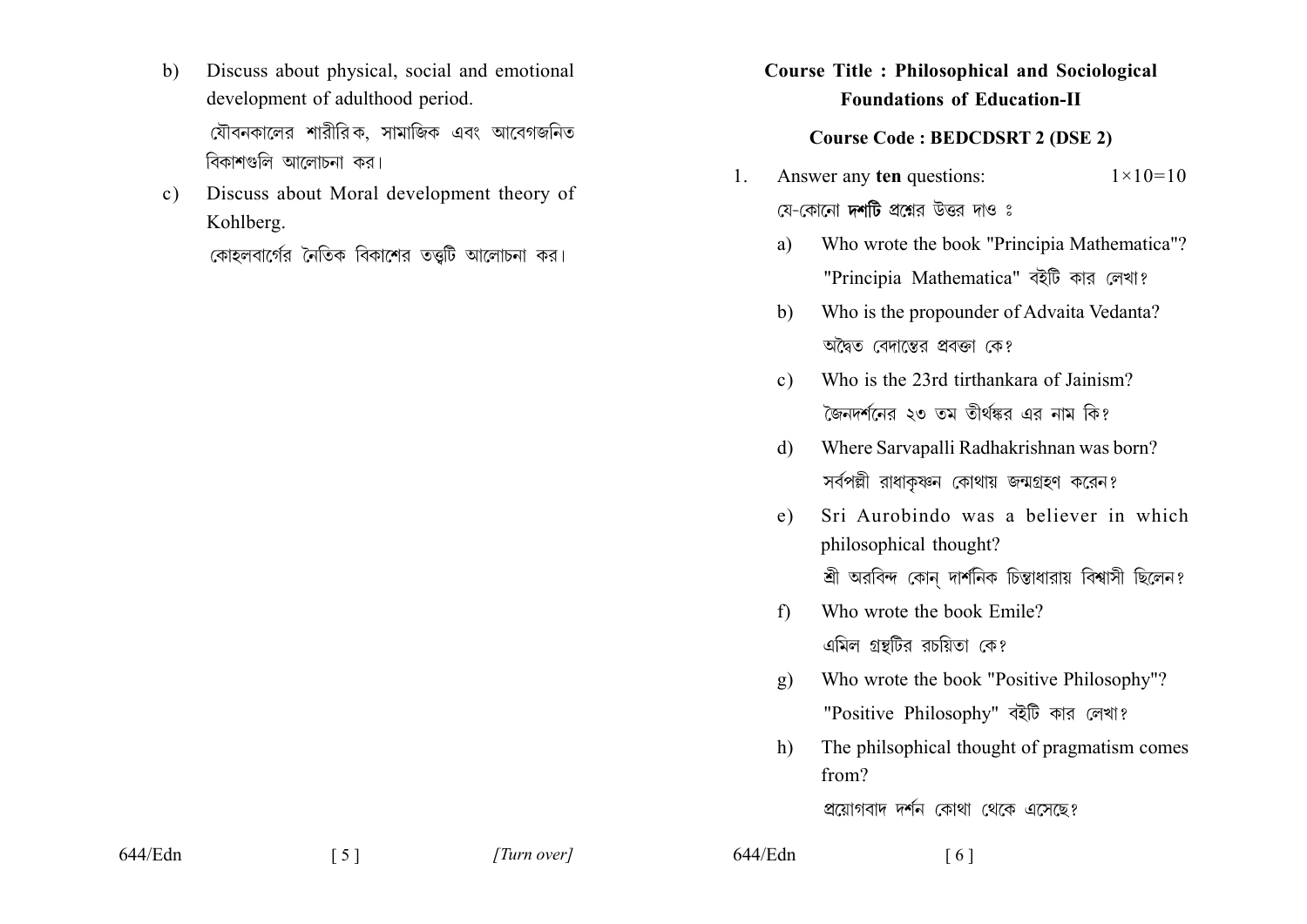- Discuss about physical, social and emotional  $\mathbf{b}$ development of adulthood period. যৌবনকালের শারীরিক, সামাজিক এবং আবেগজনিত বিকাশগুলি আলোচনা কর।
- Discuss about Moral development theory of  $c)$ Kohlberg.

কোহলবার্গের নৈতিক বিকাশের তত্তটি আলোচনা কর।

## **Course Title: Philosophical and Sociological Foundations of Education-II**

### **Course Code: BEDCDSRT 2 (DSE 2)**

- Answer any ten questions:  $1 \times 10 = 10$ 1. য়ে-কোনো **দর্শটি** প্রশ্নের উত্তর দাও ঃ
	- Who wrote the book "Principia Mathematica"? a) "Principia Mathematica" বইটি কার লেখা?
	- Who is the propounder of Advaita Vedanta?  $h$ অদ্বৈত বেদাস্তের প্রবক্তা কে?
	- Who is the 23rd tirthankara of Jainism?  $c)$ জৈনদৰ্শনের ২৩ তম তীৰ্থঙ্কর এর নাম কি?
	- Where Sarvapalli Radhakrishnan was born?  $\mathcal{A}$ সর্বপল্লী রাধাকষ্ণন কোথায় জন্মগ্রহণ করেন?
	- Sri Aurobindo was a believer in which  $e)$ philosophical thought? শ্রী অরবিন্দ কোন দার্শনিক চিন্তাধারায় বিশ্বাসী ছিলেন?
	- Who wrote the book Emile?  $f$ এমিল গ্রন্থটির রচয়িতা কে?
	- Who wrote the book "Positive Philosophy"?  $\mathbf{q}$ "Positive Philosophy" বইটি কার লেখা?
	- The philsophical thought of pragmatism comes h) from?

প্রয়োগবাদ দর্শন কোথা থেকে এসেছে?

644/Edn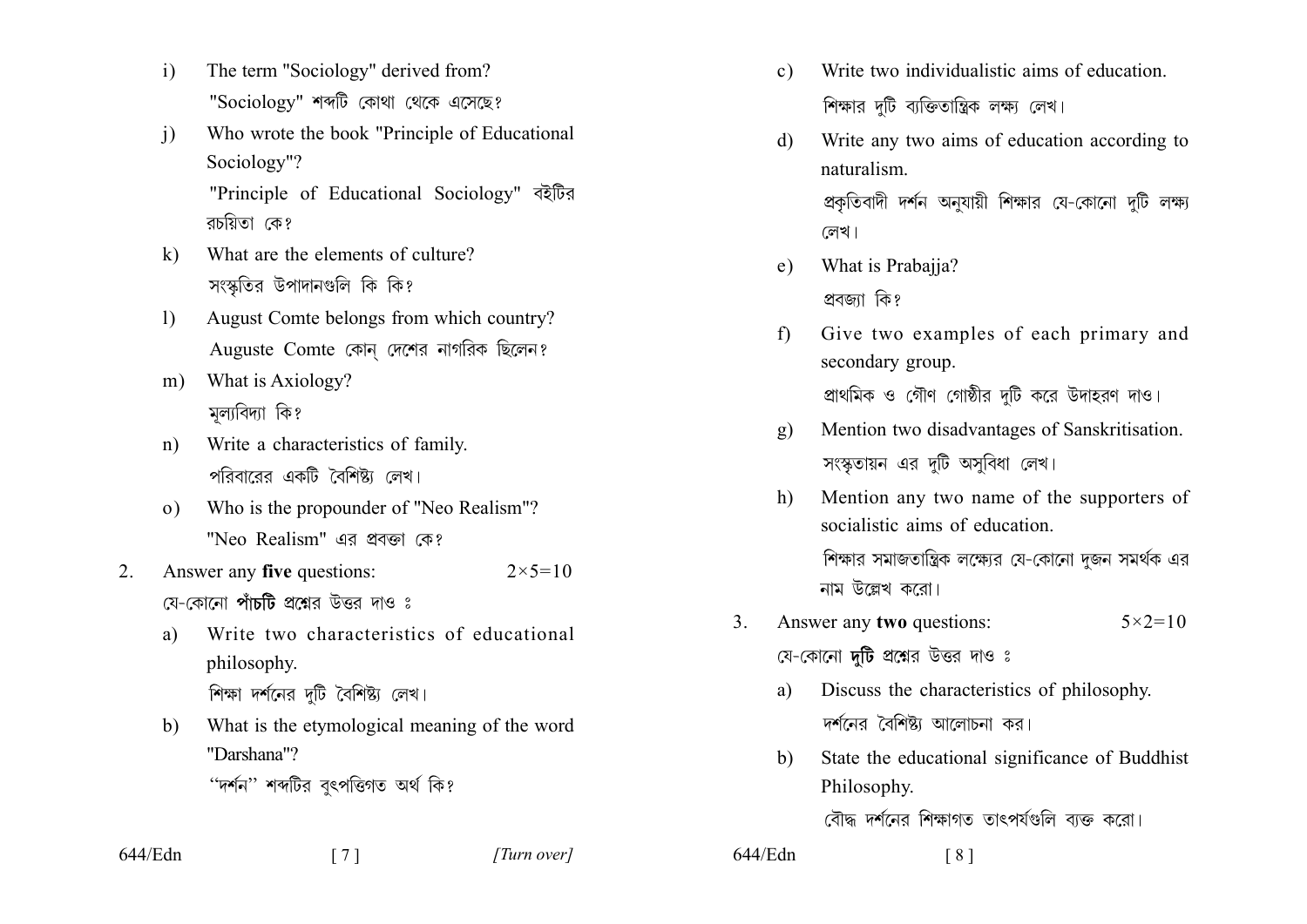- $\mathbf{i}$ The term "Sociology" derived from? "Sociology" শব্দটি কোথা থেকে এসেছে?
- Who wrote the book "Principle of Educational  $\mathbf{i}$ Sociology"? "Principle of Educational Sociology" বইটির রচয়িতা কে?
- What are the elements of culture?  $k)$ সংস্কৃতির উপাদানগুলি কি কি?
- August Comte belongs from which country?  $\mathbf{D}$ Auguste Comte কোন দেশের নাগরিক ছিলেন?
- What is Axiology?  $m$ ) মূল্যবিদ্যা কি?
- Write a characteristics of family.  $n)$ পরিবারের একটি বৈশিষ্ট্য লেখ।
- Who is the propounder of "Neo Realism"?  $\Omega$ ) "Neo Realism" এব প্রবর্জা কে?
- Answer any five questions:  $2 \times 5 = 10$  $2_{-}$ য়ে-কোনো **পাঁচটি** প্রশ্নের উত্তর দাও ঃ
	- Write two characteristics of educational a) philosophy. শিক্ষা দর্শনের দটি বৈশিষ্ট্য লেখ।
	- What is the etymological meaning of the word  $b)$ "Darshana"?
		- "দৰ্শন" শব্দটির বৎপত্তিগত অৰ্থ কি?

644/Edn

 $\begin{bmatrix} 7 \end{bmatrix}$ 

- Write two individualistic aims of education.  $c)$ শিক্ষার দুটি ব্যক্তিতান্ত্রিক লক্ষ্য লেখ।
- $\mathcal{L}$ Write any two aims of education according to naturalism. প্রকৃতিবাদী দর্শন অনুযায়ী শিক্ষার যে-কোনো দুটি লক্ষ্য লেখ।
- What is Prabajja?  $e)$ প্ৰবজা কি?

 $644$ /Edn

- Give two examples of each primary and  $f$ secondary group. প্রাথমিক ও গৌণ গোষ্ঠীর দুটি করে উদাহরণ দাও।
- Mention two disadvantages of Sanskritisation.  $g)$ সংস্কৃতায়ন এর দুটি অসুবিধা লেখ।
- Mention any two name of the supporters of  $h)$ socialistic aims of education শিক্ষার সমাজতান্ত্রিক লক্ষ্যের যে-কোনো দুজন সমর্থক এর নাম উল্লেখ কবো।
- $\mathcal{E}$ Answer any **two** questions:  $5 \times 2 = 10$ যে-কোনো **দটি** প্রশ্নের উত্তর দাও ঃ
	- Discuss the characteristics of philosophy. a) দর্শনের বৈশিষ্ট্য আলোচনা কর।
	- State the educational significance of Buddhist  $h$ Philosophy.

বৌদ্ধ দর্শনের শিক্ষাগত তাৎপর্যগুলি ব্যক্ত করো।

 $\lceil 8 \rceil$